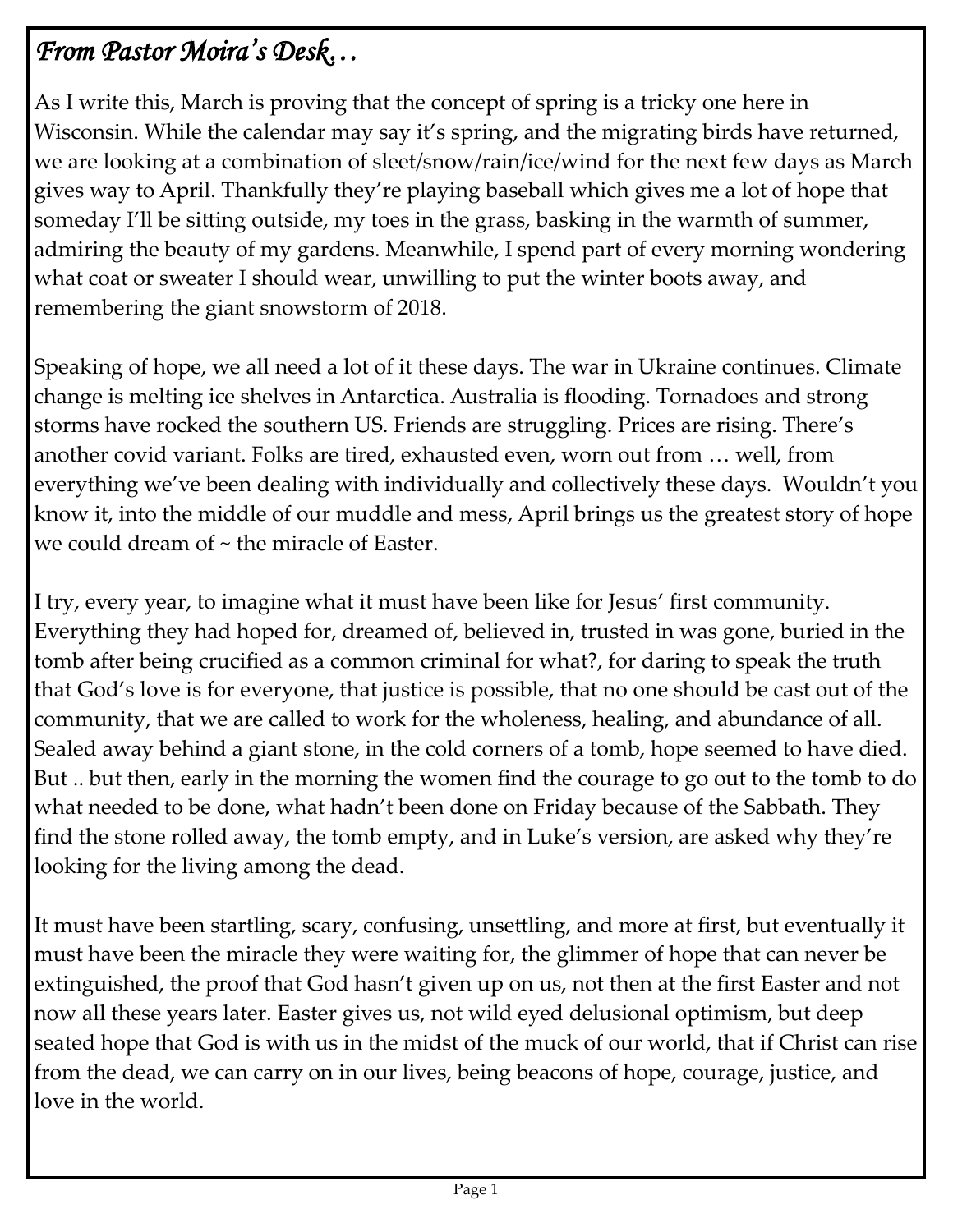# *From Pastor Moira's Desk…*

As I write this, March is proving that the concept of spring is a tricky one here in Wisconsin. While the calendar may say it's spring, and the migrating birds have returned, we are looking at a combination of sleet/snow/rain/ice/wind for the next few days as March gives way to April. Thankfully they're playing baseball which gives me a lot of hope that someday I'll be sitting outside, my toes in the grass, basking in the warmth of summer, admiring the beauty of my gardens. Meanwhile, I spend part of every morning wondering what coat or sweater I should wear, unwilling to put the winter boots away, and remembering the giant snowstorm of 2018.

Speaking of hope, we all need a lot of it these days. The war in Ukraine continues. Climate change is melting ice shelves in Antarctica. Australia is flooding. Tornadoes and strong storms have rocked the southern US. Friends are struggling. Prices are rising. There's another covid variant. Folks are tired, exhausted even, worn out from … well, from everything we've been dealing with individually and collectively these days. Wouldn't you know it, into the middle of our muddle and mess, April brings us the greatest story of hope we could dream of ~ the miracle of Easter.

I try, every year, to imagine what it must have been like for Jesus' first community. Everything they had hoped for, dreamed of, believed in, trusted in was gone, buried in the tomb after being crucified as a common criminal for what?, for daring to speak the truth that God's love is for everyone, that justice is possible, that no one should be cast out of the community, that we are called to work for the wholeness, healing, and abundance of all. Sealed away behind a giant stone, in the cold corners of a tomb, hope seemed to have died. But .. but then, early in the morning the women find the courage to go out to the tomb to do what needed to be done, what hadn't been done on Friday because of the Sabbath. They find the stone rolled away, the tomb empty, and in Luke's version, are asked why they're looking for the living among the dead.

It must have been startling, scary, confusing, unsettling, and more at first, but eventually it must have been the miracle they were waiting for, the glimmer of hope that can never be extinguished, the proof that God hasn't given up on us, not then at the first Easter and not now all these years later. Easter gives us, not wild eyed delusional optimism, but deep seated hope that God is with us in the midst of the muck of our world, that if Christ can rise from the dead, we can carry on in our lives, being beacons of hope, courage, justice, and love in the world.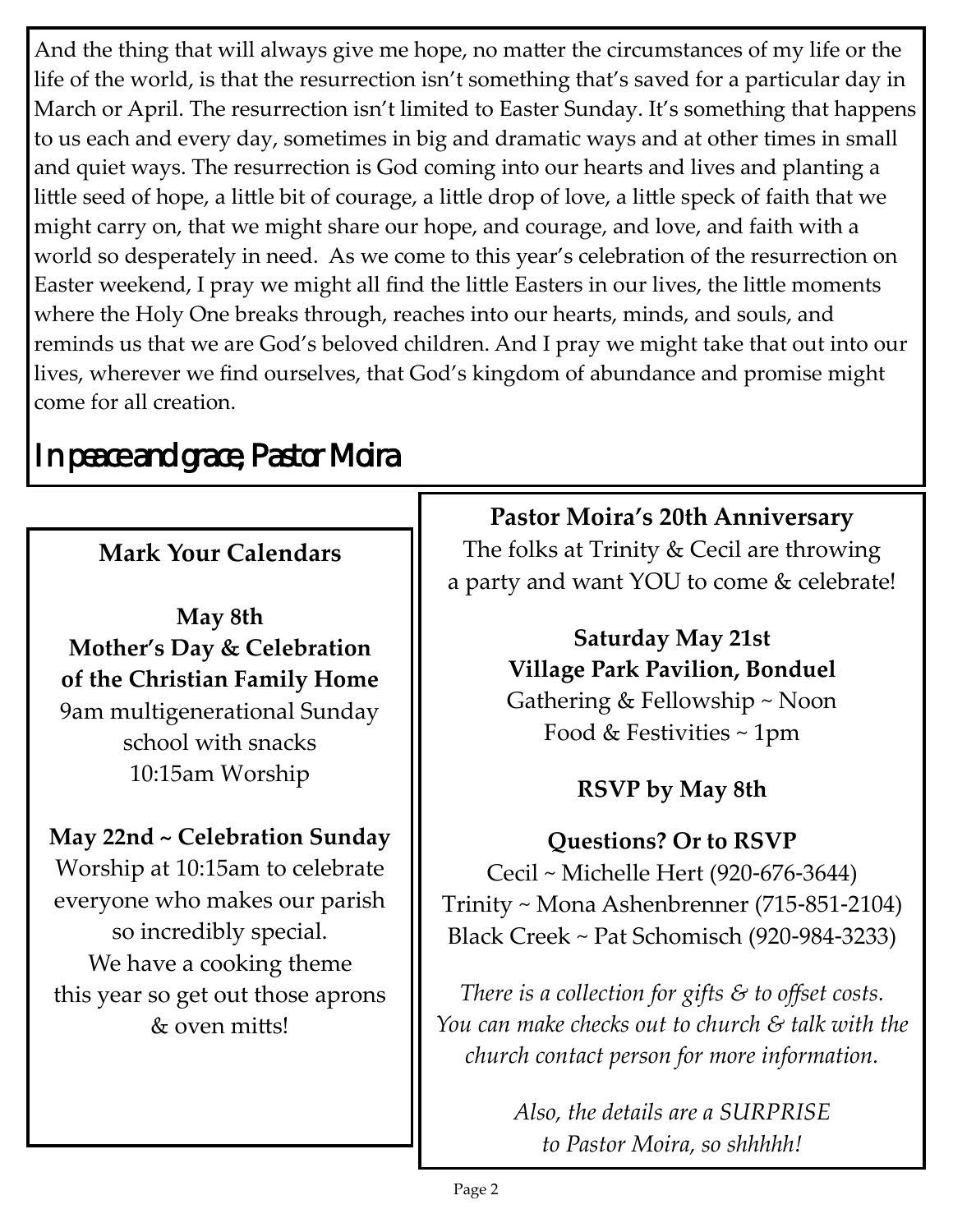And the thing that will always give me hope, no matter the circumstances of my life or the life of the world, is that the resurrection isn't something that's saved for a particular day in March or April. The resurrection isn't limited to Easter Sunday. It's something that happens to us each and every day, sometimes in big and dramatic ways and at other times in small and quiet ways. The resurrection is God coming into our hearts and lives and planting a little seed of hope, a little bit of courage, a little drop of love, a little speck of faith that we might carry on, that we might share our hope, and courage, and love, and faith with a world so desperately in need. As we come to this year's celebration of the resurrection on Easter weekend, I pray we might all find the little Easters in our lives, the little moments where the Holy One breaks through, reaches into our hearts, minds, and souls, and reminds us that we are God's beloved children. And I pray we might take that out into our lives, wherever we find ourselves, that God's kingdom of abundance and promise might come for all creation.

# *In peace and grace, Pastor Moira*

# **Mark Your Calendars**

**May 8th Mother's Day & Celebration of the Christian Family Home** 9am multigenerational Sunday school with snacks 10:15am Worship

# **May 22nd ~ Celebration Sunday**

Worship at 10:15am to celebrate everyone who makes our parish so incredibly special. We have a cooking theme this year so get out those aprons & oven mitts!

## **Pastor Moira's 20th Anniversary**

The folks at Trinity & Cecil are throwing a party and want YOU to come & celebrate!

# **Saturday May 21st Village Park Pavilion, Bonduel** Gathering & Fellowship ~ Noon

Food & Festivities ~ 1pm

# **RSVP by May 8th**

**Questions? Or to RSVP** Cecil ~ Michelle Hert (920-676-3644) Trinity ~ Mona Ashenbrenner (715-851-2104) Black Creek ~ Pat Schomisch (920-984-3233)

*There is a collection for gifts & to offset costs. You can make checks out to church & talk with the church contact person for more information.*

> *Also, the details are a SURPRISE to Pastor Moira, so shhhhh!*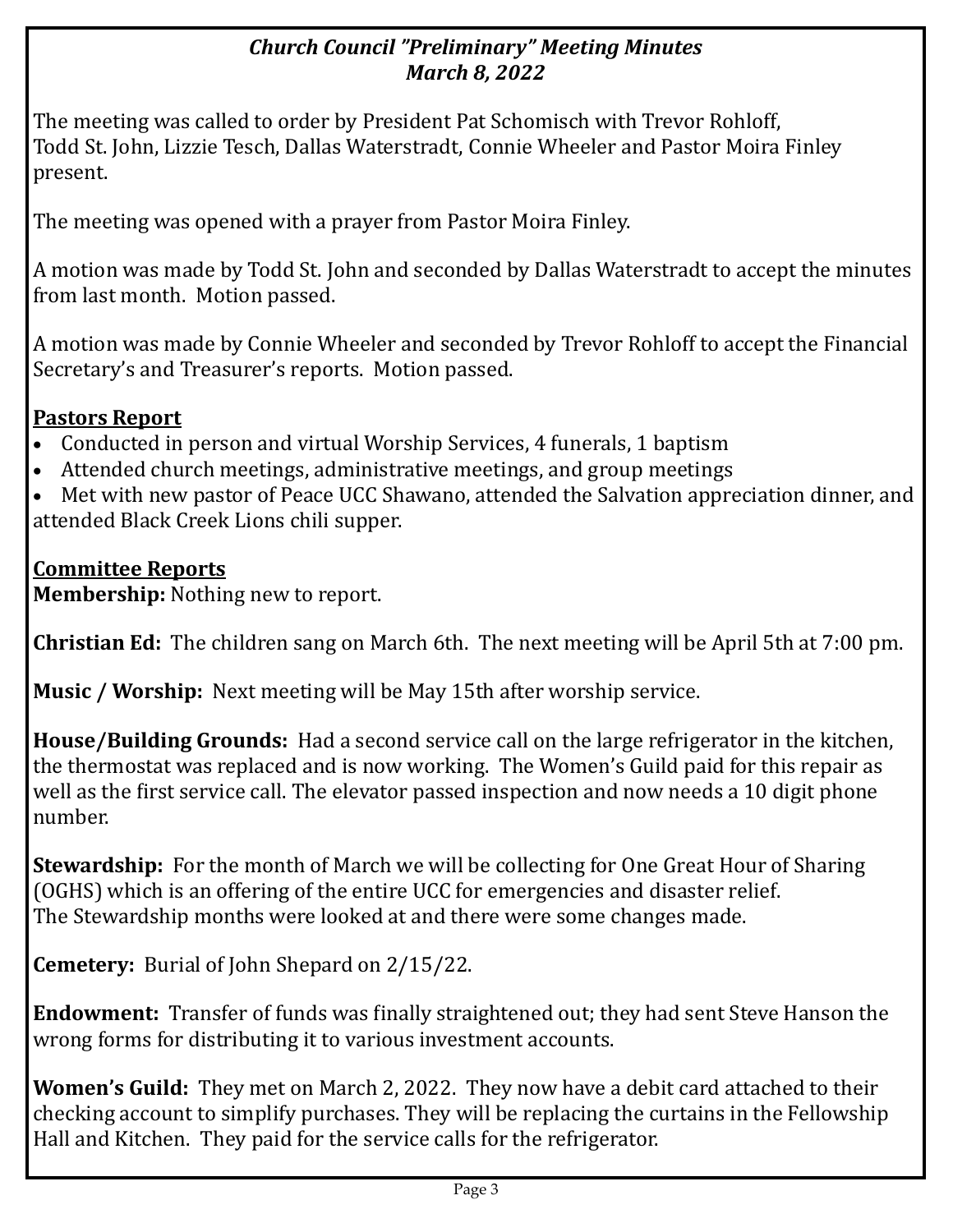## *Church Council "Preliminary" Meeting Minutes March 8, 2022*

The meeting was called to order by President Pat Schomisch with Trevor Rohloff, Todd St. John, Lizzie Tesch, Dallas Waterstradt, Connie Wheeler and Pastor Moira Finley present.

The meeting was opened with a prayer from Pastor Moira Finley.

A motion was made by Todd St. John and seconded by Dallas Waterstradt to accept the minutes from last month. Motion passed.

A motion was made by Connie Wheeler and seconded by Trevor Rohloff to accept the Financial Secretary's and Treasurer's reports. Motion passed.

## **Pastors Report**

- Conducted in person and virtual Worship Services, 4 funerals, 1 baptism
- Attended church meetings, administrative meetings, and group meetings

• Met with new pastor of Peace UCC Shawano, attended the Salvation appreciation dinner, and attended Black Creek Lions chili supper.

## **Committee Reports**

**Membership:** Nothing new to report.

**Christian Ed:** The children sang on March 6th. The next meeting will be April 5th at 7:00 pm.

**Music / Worship:** Next meeting will be May 15th after worship service.

**House/Building Grounds:** Had a second service call on the large refrigerator in the kitchen, the thermostat was replaced and is now working. The Women's Guild paid for this repair as well as the first service call. The elevator passed inspection and now needs a 10 digit phone number.

**Stewardship:** For the month of March we will be collecting for One Great Hour of Sharing (OGHS) which is an offering of the entire UCC for emergencies and disaster relief. The Stewardship months were looked at and there were some changes made.

**Cemetery:** Burial of John Shepard on 2/15/22.

**Endowment:** Transfer of funds was finally straightened out; they had sent Steve Hanson the wrong forms for distributing it to various investment accounts.

**Women's Guild:** They met on March 2, 2022. They now have a debit card attached to their checking account to simplify purchases. They will be replacing the curtains in the Fellowship Hall and Kitchen. They paid for the service calls for the refrigerator.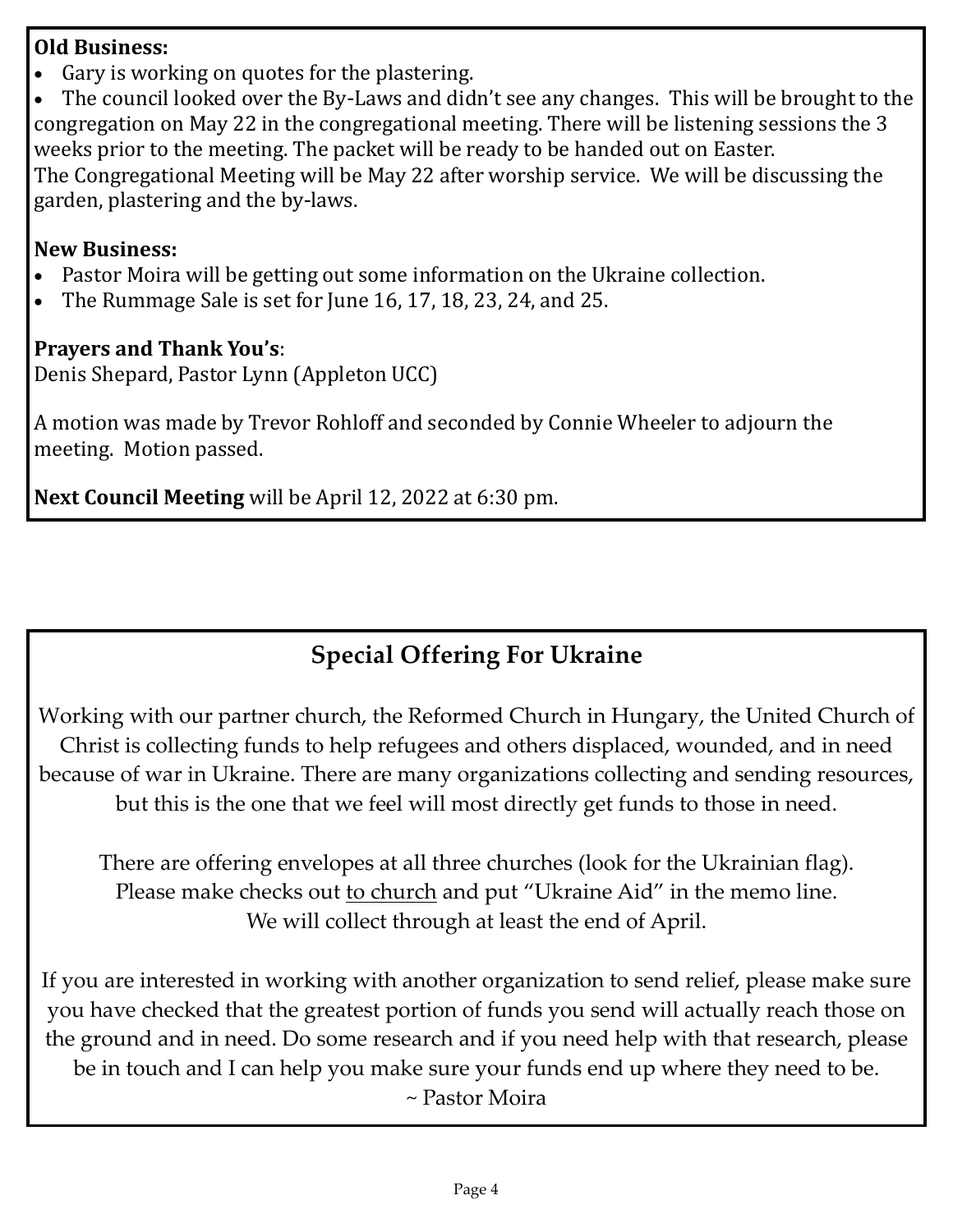### **Old Business:**

• Gary is working on quotes for the plastering.

• The council looked over the By-Laws and didn't see any changes. This will be brought to the congregation on May 22 in the congregational meeting. There will be listening sessions the 3 weeks prior to the meeting. The packet will be ready to be handed out on Easter. The Congregational Meeting will be May 22 after worship service. We will be discussing the garden, plastering and the by-laws.

## **New Business:**

- Pastor Moira will be getting out some information on the Ukraine collection.
- The Rummage Sale is set for June 16, 17, 18, 23, 24, and 25.

## **Prayers and Thank You's**:

Denis Shepard, Pastor Lynn (Appleton UCC)

A motion was made by Trevor Rohloff and seconded by Connie Wheeler to adjourn the meeting. Motion passed.

**Next Council Meeting** will be April 12, 2022 at 6:30 pm.

# **Special Offering For Ukraine**

Working with our partner church, the Reformed Church in Hungary, the United Church of Christ is collecting funds to help refugees and others displaced, wounded, and in need because of war in Ukraine. There are many organizations collecting and sending resources, but this is the one that we feel will most directly get funds to those in need.

There are offering envelopes at all three churches (look for the Ukrainian flag). Please make checks out to church and put "Ukraine Aid" in the memo line. We will collect through at least the end of April.

If you are interested in working with another organization to send relief, please make sure you have checked that the greatest portion of funds you send will actually reach those on the ground and in need. Do some research and if you need help with that research, please be in touch and I can help you make sure your funds end up where they need to be. ~ Pastor Moira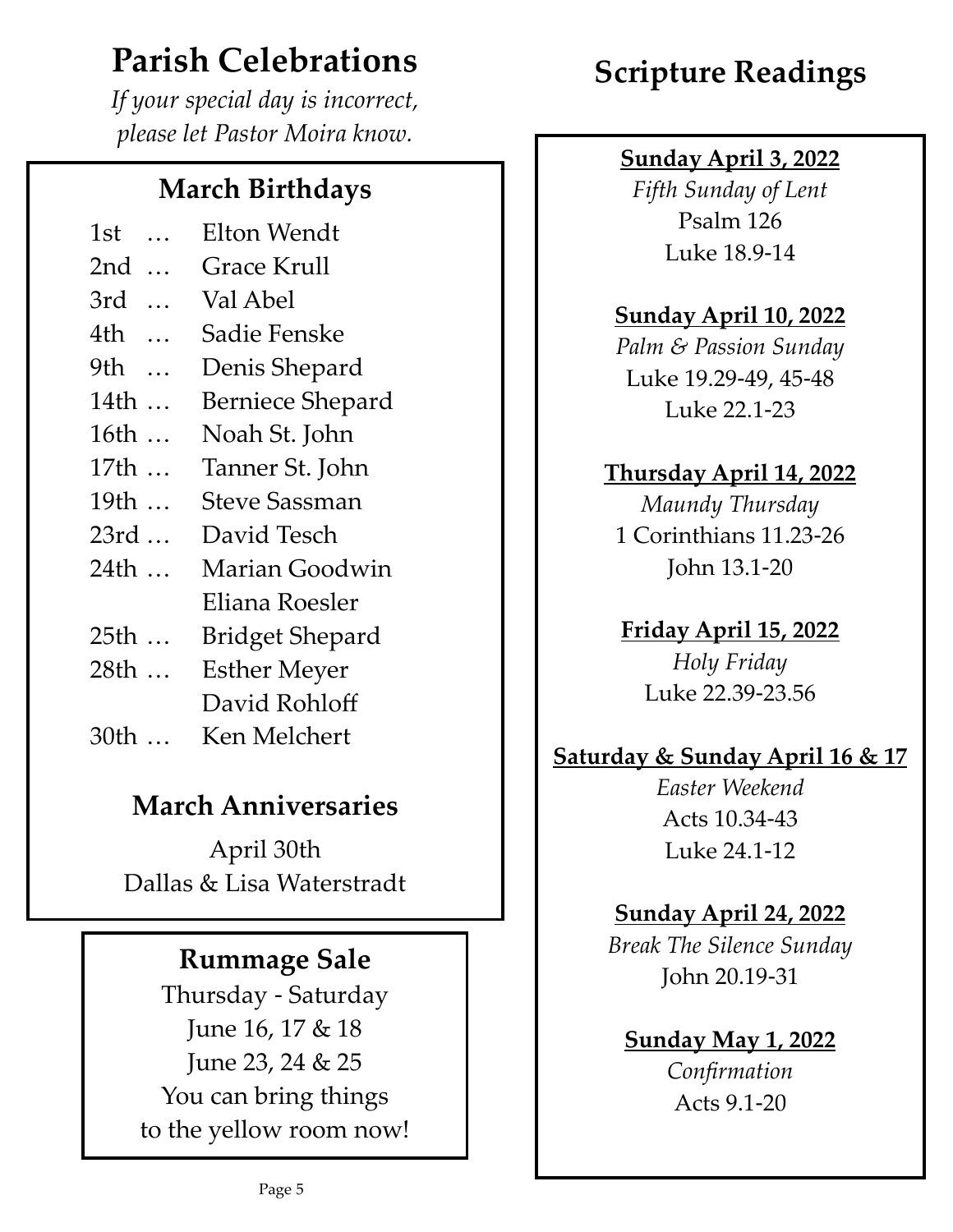# **Parish Celebrations**

*If your special day is incorrect, please let Pastor Moira know.*

# **March Birthdays**

- 1st … Elton Wendt
- 2nd … Grace Krull
- 3rd … Val Abel
- 4th … Sadie Fenske
- 9th … Denis Shepard
- 14th … Berniece Shepard
- 16th … Noah St. John
- 17th … Tanner St. John
- 19th … Steve Sassman
- 23rd … David Tesch
- 24th … Marian Goodwin Eliana Roesler
- 25th … Bridget Shepard
- 28th … Esther Meyer David Rohloff
- 30th … Ken Melchert

# **March Anniversaries**

April 30th Dallas & Lisa Waterstradt

# **Rummage Sale**

Thursday - Saturday June 16, 17 & 18 June 23, 24 & 25 You can bring things to the yellow room now!

# **Scripture Readings**

## **Sunday April 3, 2022**

*Fifth Sunday of Lent* Psalm 126 Luke 18.9-14

## **Sunday April 10, 2022**

*Palm & Passion Sunday* Luke 19.29-49, 45-48 Luke 22.1-23

## **Thursday April 14, 2022**

*Maundy Thursday* 1 Corinthians 11.23-26 John 13.1-20

## **Friday April 15, 2022**

*Holy Friday* Luke 22.39-23.56

## **Saturday & Sunday April 16 & 17**

*Easter Weekend* Acts 10.34-43 Luke 24.1-12

## **Sunday April 24, 2022**

*Break The Silence Sunday* John 20.19-31

# **Sunday May 1, 2022**

*Confirmation* Acts 9.1-20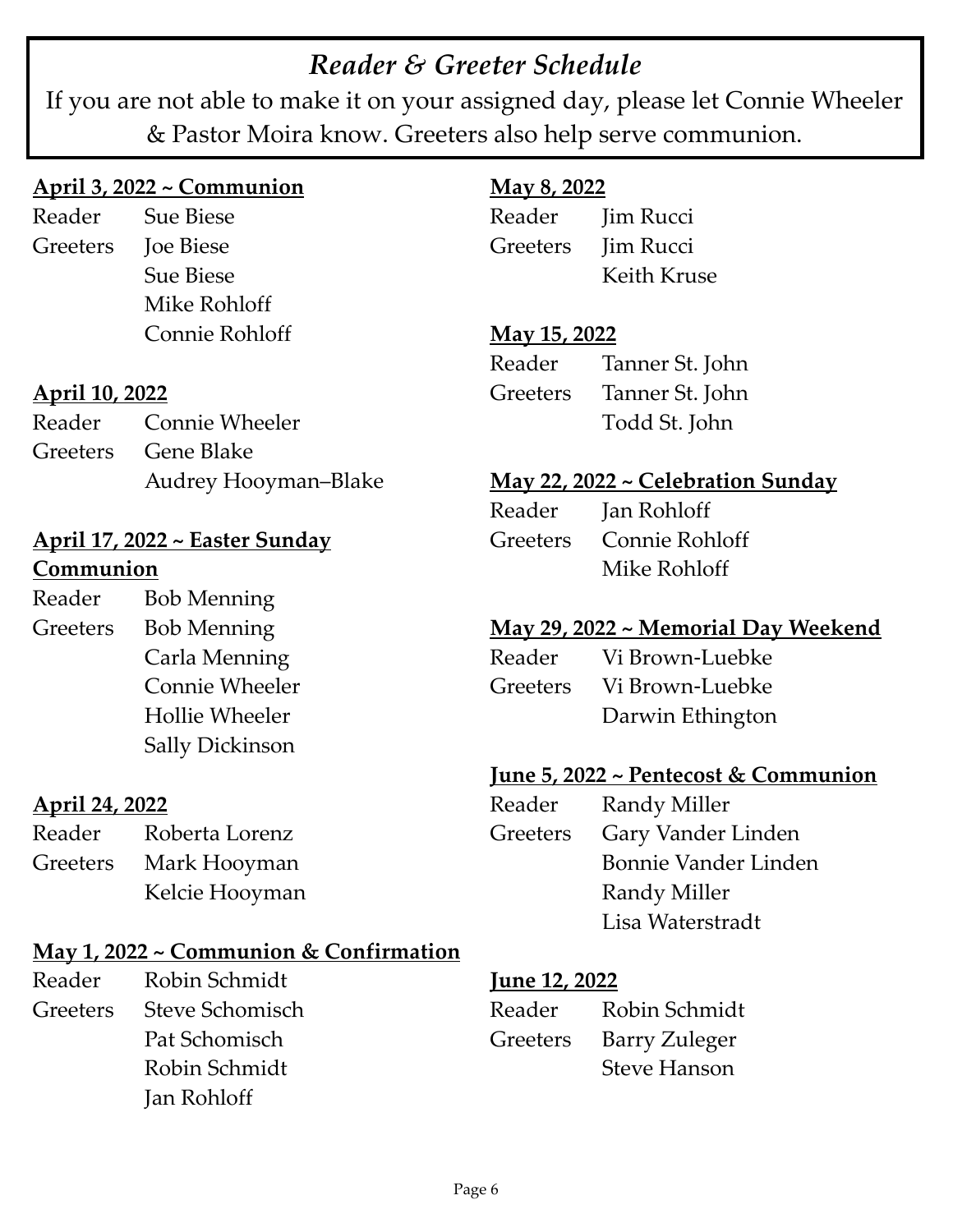# *Reader & Greeter Schedule*

If you are not able to make it on your assigned day, please let Connie Wheeler & Pastor Moira know. Greeters also help serve communion.

### **April 3, 2022 ~ Communion**

Reader Sue Biese Greeters Joe Biese Sue Biese Mike Rohloff Connie Rohloff

### **April 10, 2022**

| Reader Connie Wheeler |
|-----------------------|
| Greeters Gene Blake   |
| Audrey Hooyman-Blake  |

## **April 17, 2022 ~ Easter Sunday Communion**

| Reader   | <b>Bob Menning</b>     |
|----------|------------------------|
| Greeters | <b>Bob Menning</b>     |
|          | Carla Menning          |
|          | Connie Wheeler         |
|          | Hollie Wheeler         |
|          | <b>Sally Dickinson</b> |

### **April 24, 2022**

| Reader   | Roberta Lorenz |
|----------|----------------|
| Greeters | Mark Hooyman   |
|          | Kelcie Hooyman |

### **May 1, 2022 ~ Communion & Confirmation**

Reader Robin Schmidt Greeters Steve Schomisch Pat Schomisch Robin Schmidt Jan Rohloff

## **May 8, 2022**

Reader Jim Rucci Greeters **Iim Rucci** Keith Kruse

### **May 15, 2022**

Reader Tanner St. John Greeters Tanner St. John Todd St. John

#### **May 22, 2022 ~ Celebration Sunday**

| Reader | Jan Rohloff             |
|--------|-------------------------|
|        | Greeters Connie Rohloff |
|        | Mike Rohloff            |

### **May 29, 2022 ~ Memorial Day Weekend**

| Reader | Vi Brown-Luebke          |
|--------|--------------------------|
|        | Greeters Vi Brown-Luebke |
|        | Darwin Ethington         |

## **June 5, 2022 ~ Pentecost & Communion**

| Reader   | Randy Miller         |
|----------|----------------------|
| Greeters | Gary Vander Linden   |
|          | Bonnie Vander Linden |
|          | Randy Miller         |
|          | Lisa Waterstradt     |

#### **June 12, 2022**

| Reader | Robin Schmidt          |
|--------|------------------------|
|        | Greeters Barry Zuleger |
|        | <b>Steve Hanson</b>    |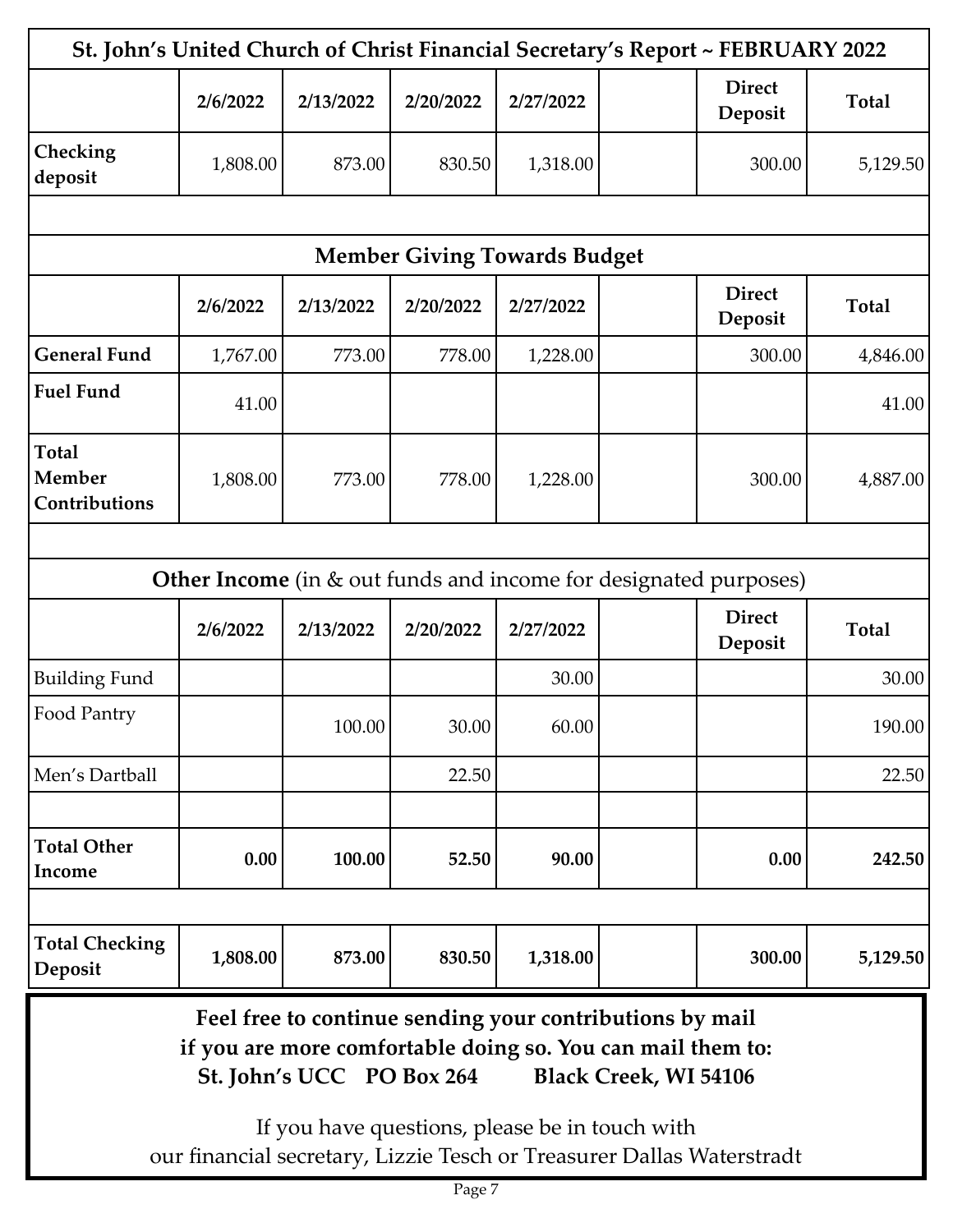|                                         |          |                                                                             |                                     |           | St. John's United Church of Christ Financial Secretary's Report ~ FEBRUARY 2022                                                                                                                                                  |              |
|-----------------------------------------|----------|-----------------------------------------------------------------------------|-------------------------------------|-----------|----------------------------------------------------------------------------------------------------------------------------------------------------------------------------------------------------------------------------------|--------------|
|                                         | 2/6/2022 | 2/13/2022                                                                   | 2/20/2022                           | 2/27/2022 | <b>Direct</b><br>Deposit                                                                                                                                                                                                         | <b>Total</b> |
| Checking<br>deposit                     | 1,808.00 | 873.00                                                                      | 830.50                              | 1,318.00  | 300.00                                                                                                                                                                                                                           | 5,129.50     |
|                                         |          |                                                                             |                                     |           |                                                                                                                                                                                                                                  |              |
|                                         |          |                                                                             | <b>Member Giving Towards Budget</b> |           |                                                                                                                                                                                                                                  |              |
|                                         | 2/6/2022 | 2/13/2022                                                                   | 2/20/2022                           | 2/27/2022 | <b>Direct</b><br>Deposit                                                                                                                                                                                                         | <b>Total</b> |
| <b>General Fund</b>                     | 1,767.00 | 773.00                                                                      | 778.00                              | 1,228.00  | 300.00                                                                                                                                                                                                                           | 4,846.00     |
| <b>Fuel Fund</b>                        | 41.00    |                                                                             |                                     |           |                                                                                                                                                                                                                                  | 41.00        |
| <b>Total</b><br>Member<br>Contributions | 1,808.00 | 773.00                                                                      | 778.00                              | 1,228.00  | 300.00                                                                                                                                                                                                                           | 4,887.00     |
|                                         |          |                                                                             |                                     |           |                                                                                                                                                                                                                                  |              |
|                                         |          |                                                                             |                                     |           | <b>Other Income</b> (in & out funds and income for designated purposes)                                                                                                                                                          |              |
|                                         | 2/6/2022 | 2/13/2022                                                                   | 2/20/2022                           | 2/27/2022 | <b>Direct</b><br>Deposit                                                                                                                                                                                                         | <b>Total</b> |
| <b>Building Fund</b>                    |          |                                                                             |                                     | 30.00     |                                                                                                                                                                                                                                  | 30.00        |
| Food Pantry                             |          | 100.00                                                                      | 30.00                               | 60.00     |                                                                                                                                                                                                                                  | 190.00       |
| Men's Dartball                          |          |                                                                             | 22.50                               |           |                                                                                                                                                                                                                                  | 22.50        |
| <b>Total Other</b><br>Income            | 0.00     | 100.00                                                                      | 52.50                               | 90.00     | 0.00                                                                                                                                                                                                                             | 242.50       |
| <b>Total Checking</b><br>Deposit        | 1,808.00 | 873.00                                                                      | 830.50                              | 1,318.00  | 300.00                                                                                                                                                                                                                           | 5,129.50     |
|                                         |          | St. John's UCC PO Box 264<br>If you have questions, please be in touch with |                                     |           | Feel free to continue sending your contributions by mail<br>if you are more comfortable doing so. You can mail them to:<br><b>Black Creek, WI 54106</b><br>our financial secretary, Lizzie Tesch or Treasurer Dallas Waterstradt |              |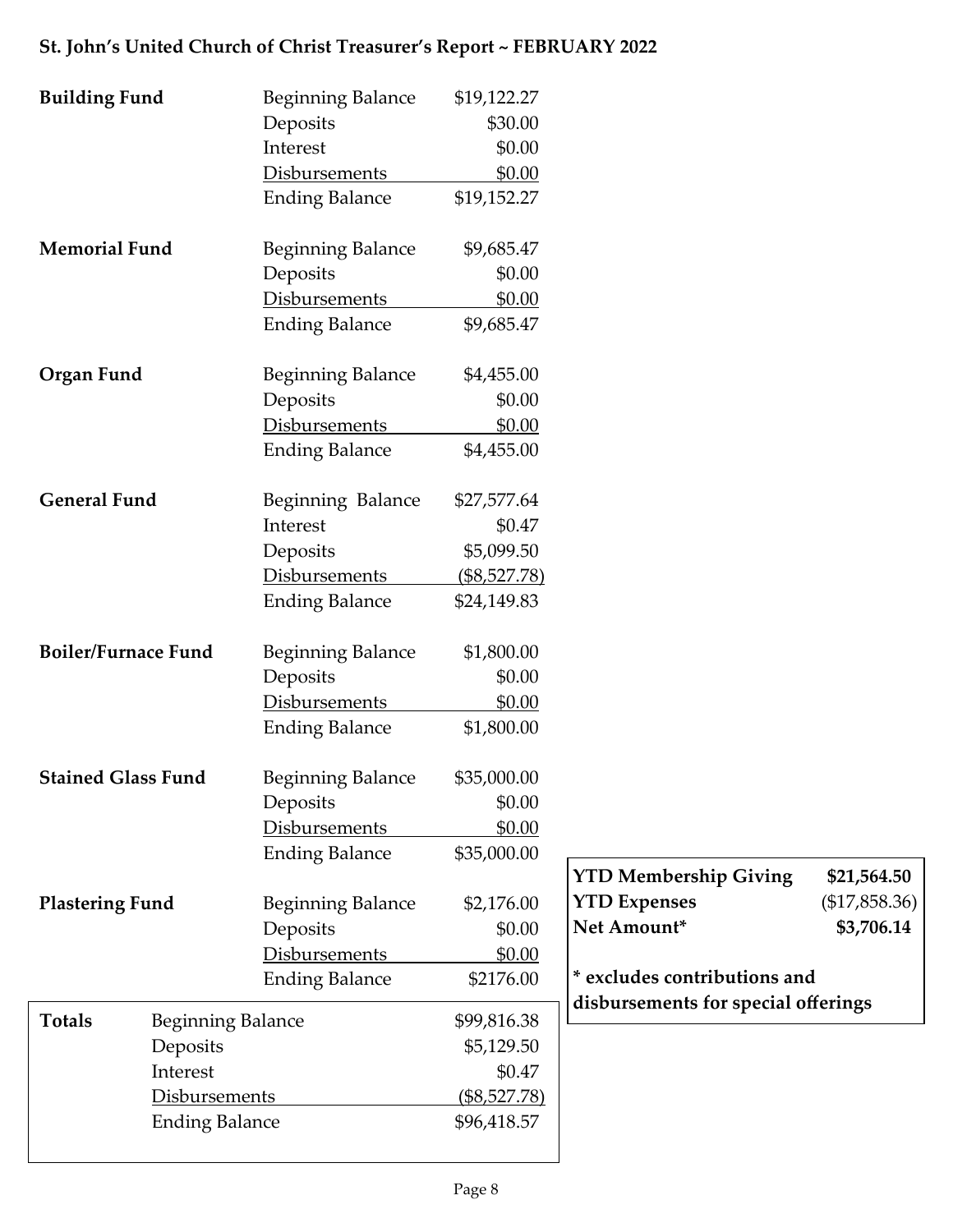## **Building Fund Beginning Balance** \$19,122.27 Deposits \$30.00 Interest \$0.00 Disbursements \$0.00 Ending Balance \$19,152.27 **Memorial Fund** Beginning Balance \$9,685.47 Deposits \$0.00 Disbursements \$0.00 Ending Balance \$9,685.47 **Organ Fund** Beginning Balance \$4,455.00 Deposits \$0.00 Disbursements \$0.00 Ending Balance \$4,455.00 General Fund<br>Beginning Balance \$27,577.64 Interest \$0.47 Deposits \$5,099.50 Disbursements (\$8,527.78) Ending Balance \$24,149.83 **Boiler/Furnace Fund** Beginning Balance \$1,800.00 Deposits \$0.00 Disbursements \$0.00 Ending Balance \$1,800.00 **Stained Glass Fund** Beginning Balance \$35,000.00 Deposits \$0.00 Disbursements \$0.00 Ending Balance \$35,000.00 **Plastering Fund** Beginning Balance \$2,176.00 Deposits \$0.00 Disbursements \$0.00 Ending Balance \$2176.00 Totals Beginning Balance \$99,816.38 Deposits \$5,129.50 Interest \$0.47 Disbursements (\$8,527.78) Ending Balance \$96,418.57 **YTD Membership Giving \$21,564.50 YTD Expenses** (\$17,858.36) **Net Amount\* \$3,706.14 \* excludes contributions and disbursements for special offerings**

#### **St. John's United Church of Christ Treasurer's Report ~ FEBRUARY 2022**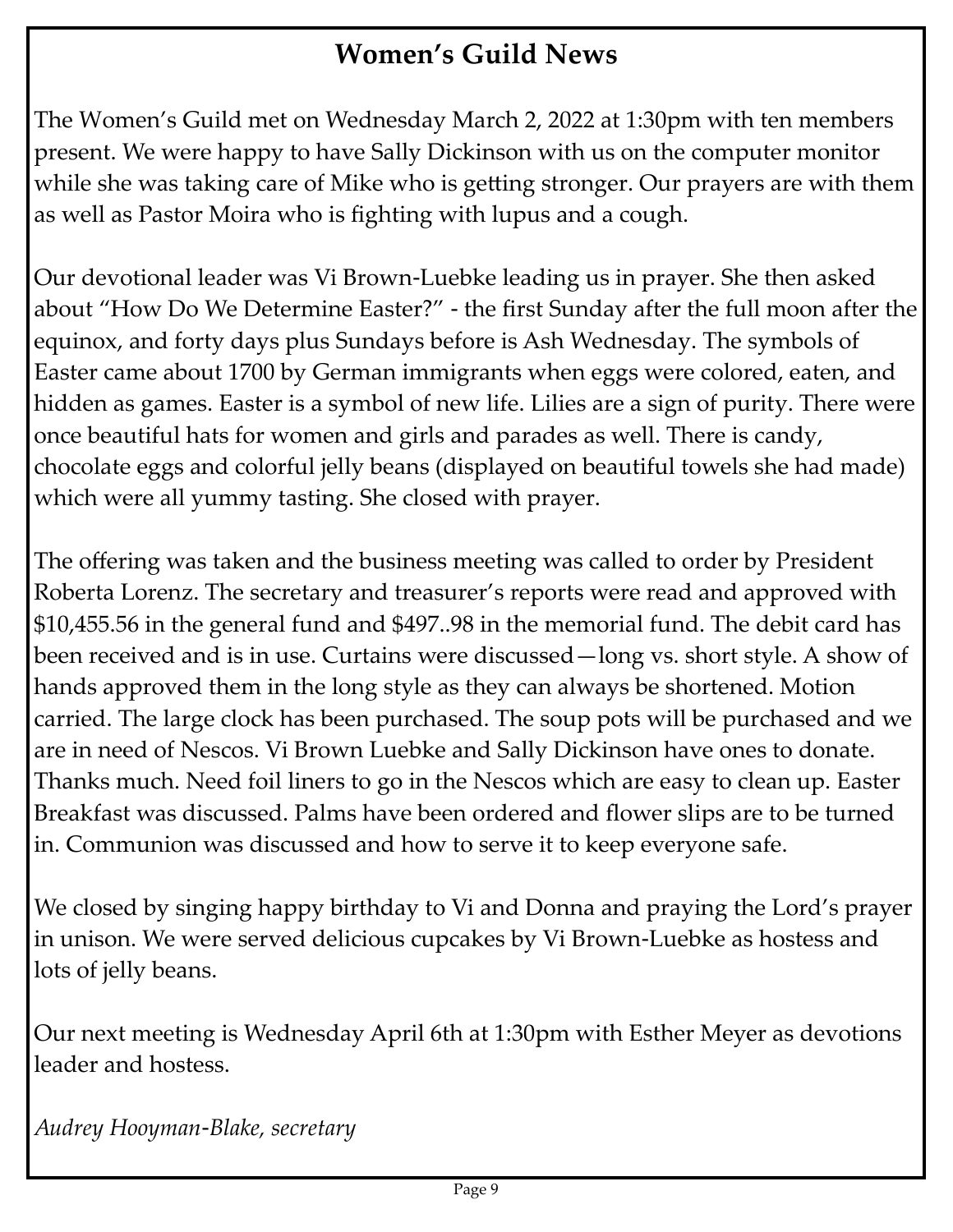# **Women's Guild News**

The Women's Guild met on Wednesday March 2, 2022 at 1:30pm with ten members present. We were happy to have Sally Dickinson with us on the computer monitor while she was taking care of Mike who is getting stronger. Our prayers are with them as well as Pastor Moira who is fighting with lupus and a cough.

Our devotional leader was Vi Brown-Luebke leading us in prayer. She then asked about "How Do We Determine Easter?" - the first Sunday after the full moon after the equinox, and forty days plus Sundays before is Ash Wednesday. The symbols of Easter came about 1700 by German immigrants when eggs were colored, eaten, and hidden as games. Easter is a symbol of new life. Lilies are a sign of purity. There were once beautiful hats for women and girls and parades as well. There is candy, chocolate eggs and colorful jelly beans (displayed on beautiful towels she had made) which were all yummy tasting. She closed with prayer.

The offering was taken and the business meeting was called to order by President Roberta Lorenz. The secretary and treasurer's reports were read and approved with \$10,455.56 in the general fund and \$497..98 in the memorial fund. The debit card has been received and is in use. Curtains were discussed—long vs. short style. A show of hands approved them in the long style as they can always be shortened. Motion carried. The large clock has been purchased. The soup pots will be purchased and we are in need of Nescos. Vi Brown Luebke and Sally Dickinson have ones to donate. Thanks much. Need foil liners to go in the Nescos which are easy to clean up. Easter Breakfast was discussed. Palms have been ordered and flower slips are to be turned in. Communion was discussed and how to serve it to keep everyone safe.

We closed by singing happy birthday to Vi and Donna and praying the Lord's prayer in unison. We were served delicious cupcakes by Vi Brown-Luebke as hostess and lots of jelly beans.

Our next meeting is Wednesday April 6th at 1:30pm with Esther Meyer as devotions leader and hostess.

*Audrey Hooyman-Blake, secretary*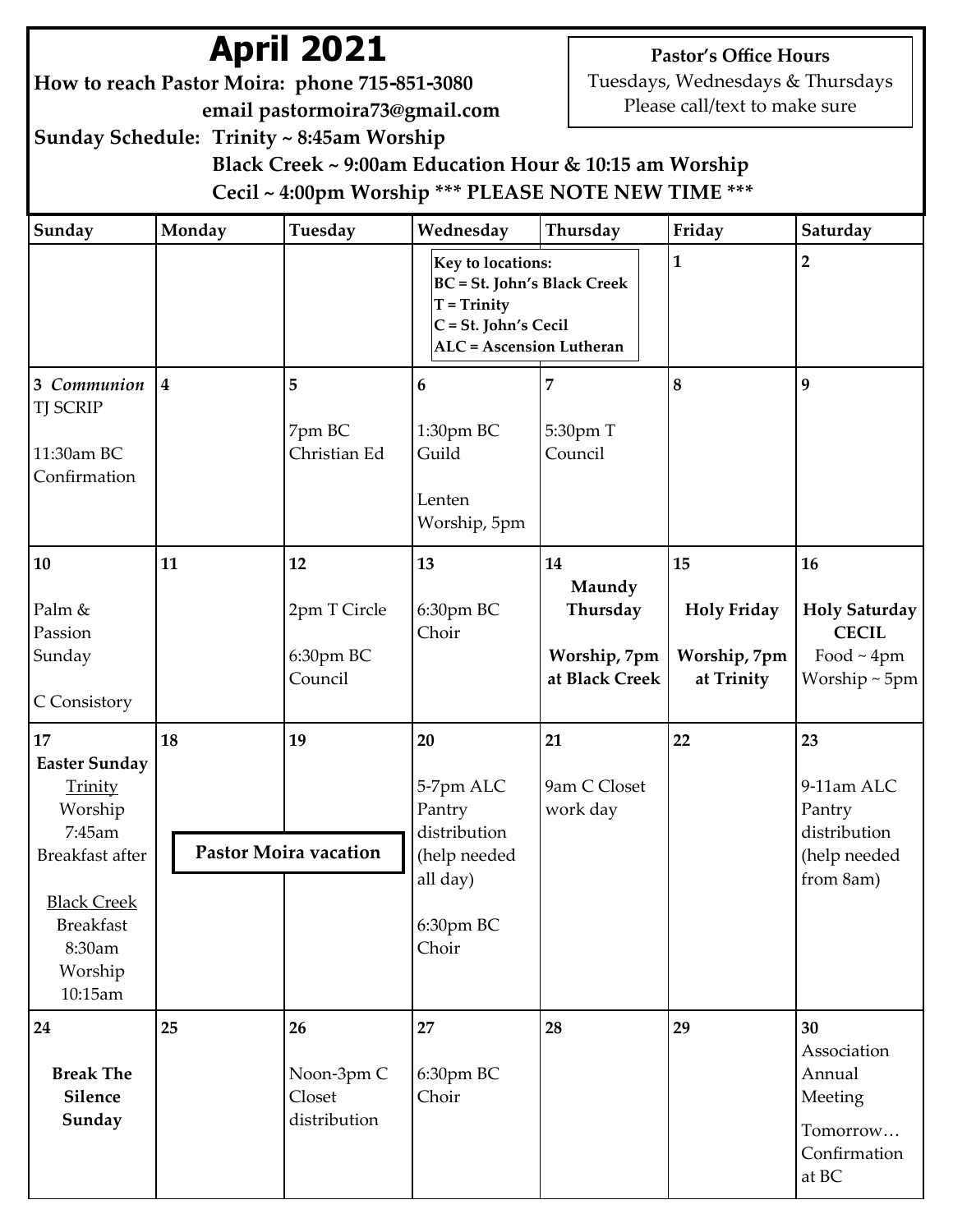# **April 2021**

**How to reach Pastor Moira: phone 715-851-3080 email pastormoira73@gmail.com** **Pastor's Office Hours**

Tuesdays, Wednesdays & Thursdays Please call/text to make sure

**Sunday Schedule: Trinity ~ 8:45am Worship**

 **Black Creek ~ 9:00am Education Hour & 10:15 am Worship Cecil ~ 4:00pm Worship \*\*\* PLEASE NOTE NEW TIME \*\*\***

| Sunday                                                                                                                                                  | Monday                  | Tuesday                                    | Wednesday                                                                                                                           | Thursday                                                   | Friday                                                 | Saturday                                                                       |
|---------------------------------------------------------------------------------------------------------------------------------------------------------|-------------------------|--------------------------------------------|-------------------------------------------------------------------------------------------------------------------------------------|------------------------------------------------------------|--------------------------------------------------------|--------------------------------------------------------------------------------|
|                                                                                                                                                         |                         |                                            | Key to locations:<br><b>BC</b> = St. John's Black Creek<br>$T = Trinity$<br>C = St. John's Cecil<br><b>ALC</b> = Ascension Lutheran |                                                            | $\mathbf{1}$                                           | $\overline{2}$                                                                 |
| 3 Communion<br><b>TJ SCRIP</b><br>11:30am BC<br>Confirmation                                                                                            | $\overline{\mathbf{4}}$ | 5<br>7pm BC<br>Christian Ed                | 6<br>1:30pm BC<br>Guild<br>Lenten<br>Worship, 5pm                                                                                   | 7<br>5:30pm T<br>Council                                   | 8                                                      | $\boldsymbol{9}$                                                               |
| 10<br>Palm &<br>Passion<br>Sunday<br>C Consistory                                                                                                       | 11                      | 12<br>2pm T Circle<br>6:30pm BC<br>Council | 13<br>6:30pm BC<br>Choir                                                                                                            | 14<br>Maundy<br>Thursday<br>Worship, 7pm<br>at Black Creek | 15<br><b>Holy Friday</b><br>Worship, 7pm<br>at Trinity | 16<br><b>Holy Saturday</b><br><b>CECIL</b><br>Food $\sim$ 4pm<br>Worship ~ 5pm |
| 17<br><b>Easter Sunday</b><br>Trinity<br>Worship<br>7:45am<br>Breakfast after<br><b>Black Creek</b><br><b>Breakfast</b><br>8:30am<br>Worship<br>10:15am | 18                      | 19<br>Pastor Moira vacation                | 20<br>5-7pm ALC<br>Pantry<br>distribution<br>(help needed<br>all day)<br>6:30pm BC<br>Choir                                         | 21<br>9am C Closet<br>work day                             | 22                                                     | 23<br>9-11am ALC<br>Pantry<br>distribution<br>(help needed<br>from 8am)        |
| 24<br><b>Break The</b><br>Silence<br>Sunday                                                                                                             | 25                      | 26<br>Noon-3pm C<br>Closet<br>distribution | 27<br>6:30pm BC<br>Choir                                                                                                            | 28                                                         | 29                                                     | 30<br>Association<br>Annual<br>Meeting<br>Tomorrow<br>Confirmation<br>at BC    |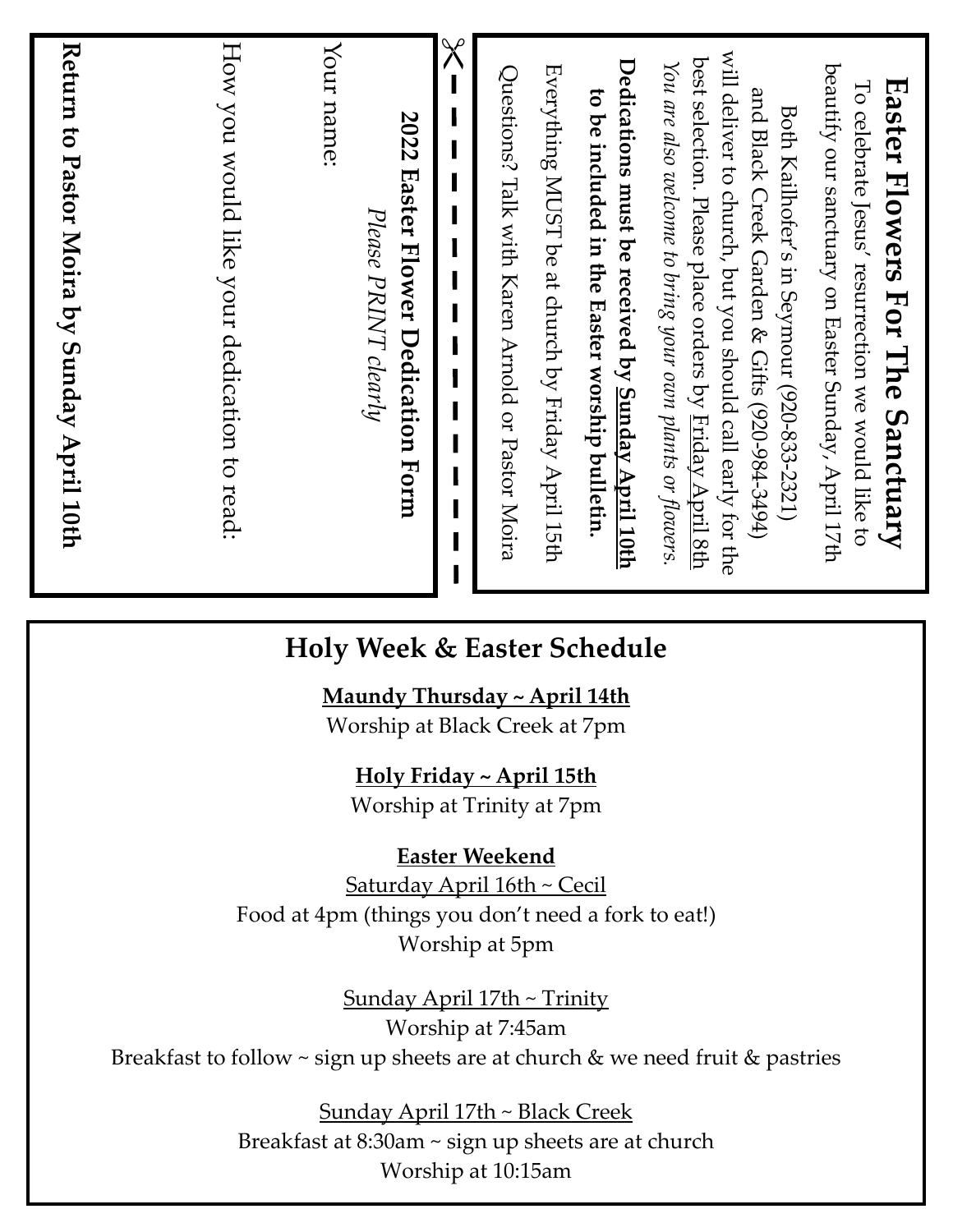| Return to Pastor Moira by Sunday April 10th                                                                                                                                                                                                                                             |            |
|-----------------------------------------------------------------------------------------------------------------------------------------------------------------------------------------------------------------------------------------------------------------------------------------|------------|
| How you would like your dedication to read:                                                                                                                                                                                                                                             |            |
| 2022 Easter Flower Dedication Form<br>Please PRINT clearly                                                                                                                                                                                                                              | Your name: |
|                                                                                                                                                                                                                                                                                         | $\chi$     |
| Everything MUST be at church by Friday April 15th<br>Questions? Talk with Karen Arnold or Pastor Moira                                                                                                                                                                                  |            |
| Dedications must be received by <u>Sunday April 10th</u><br>to be included in the Easter worship bulletin.                                                                                                                                                                              |            |
| will deliver to church, but you should call early for the<br>best selection. Please place orders by <u>Friday April 8th</u><br>You are also welcome to bring your own plants or flowers.<br>and Black Creek Garden & Gifts (920-984-3494)<br>Both Kailhofer's in Seymour (920-833-2321) |            |
| beautify our sanctuary on Easter Sunday, April 17th<br>Easter Flowers For The Sanctuary<br>To celebrate Jesus' resurrection we would like to                                                                                                                                            |            |

# **Holy Week & Easter Schedule**

**Maundy Thursday ~ April 14th**

Worship at Black Creek at 7pm

**Holy Friday ~ April 15th**

Worship at Trinity at 7pm

**Easter Weekend**

Saturday April 16th ~ Cecil Food at 4pm (things you don 't need a fork to eat!) Worship at 5pm

Sunday April 17th ~ Trinity Worship at 7:45am Breakfast to follow ~ sign up sheets are at church & we need fruit & pastries

> Sunday April 17th ~ Black Creek Breakfast at 8:30am ~ sign up sheets are at church Worship at 10:15am